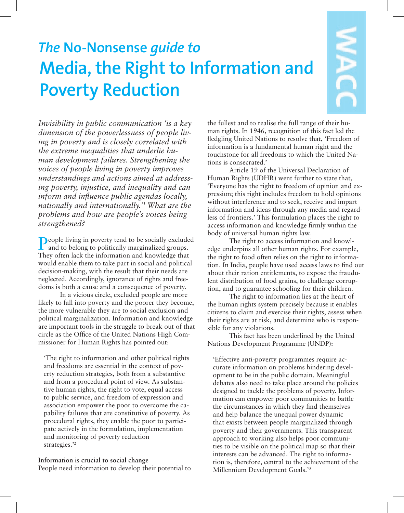# *The* **No-Nonsense** *guide to* **Media, the Right to Information and Poverty Reduction**

*Invisibility in public communication 'is a key dimension of the powerlessness of people living in poverty and is closely correlated with the extreme inequalities that underlie human development failures. Strengthening the voices of people living in poverty improves understandings and actions aimed at addressing poverty, injustice, and inequality and can inform and influence public agendas locally, nationally and internationally.'1 What are the problems and how are people's voices being strengthened?*

People living in poverty tend to be socially excluded and to belong to politically marginalized groups. They often lack the information and knowledge that would enable them to take part in social and political decision-making, with the result that their needs are neglected. Accordingly, ignorance of rights and freedoms is both a cause and a consequence of poverty.

In a vicious circle, excluded people are more likely to fall into poverty and the poorer they become, the more vulnerable they are to social exclusion and political marginalization. Information and knowledge are important tools in the struggle to break out of that circle as the Office of the United Nations High Commissioner for Human Rights has pointed out:

'The right to information and other political rights and freedoms are essential in the context of poverty reduction strategies, both from a substantive and from a procedural point of view. As substantive human rights, the right to vote, equal access to public service, and freedom of expression and association empower the poor to overcome the capability failures that are constitutive of poverty. As procedural rights, they enable the poor to participate actively in the formulation, implementation and monitoring of poverty reduction strategies.'2

**Information is crucial to social change** People need information to develop their potential to the fullest and to realise the full range of their human rights. In 1946, recognition of this fact led the fledgling United Nations to resolve that, 'Freedom of information is a fundamental human right and the touchstone for all freedoms to which the United Nations is consecrated.'

Article 19 of the Universal Declaration of Human Rights (UDHR) went further to state that, 'Everyone has the right to freedom of opinion and expression; this right includes freedom to hold opinions without interference and to seek, receive and impart information and ideas through any media and regardless of frontiers.' This formulation places the right to access information and knowledge firmly within the body of universal human rights law.

The right to access information and knowledge underpins all other human rights. For example, the right to food often relies on the right to information. In India, people have used access laws to find out about their ration entitlements, to expose the fraudulent distribution of food grains, to challenge corruption, and to guarantee schooling for their children.

The right to information lies at the heart of the human rights system precisely because it enables citizens to claim and exercise their rights, assess when their rights are at risk, and determine who is responsible for any violations.

This fact has been underlined by the United Nations Development Programme (UNDP):

'Effective anti-poverty programmes require accurate information on problems hindering development to be in the public domain. Meaningful debates also need to take place around the policies designed to tackle the problems of poverty. Information can empower poor communities to battle the circumstances in which they find themselves and help balance the unequal power dynamic that exists between people marginalized through poverty and their governments. This transparent approach to working also helps poor communities to be visible on the political map so that their interests can be advanced. The right to information is, therefore, central to the achievement of the Millennium Development Goals.'3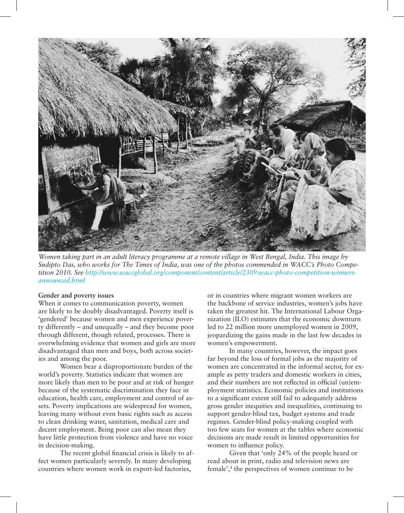

*Women taking part in an adult literacy programme at a remote village in West Bengal, India. This image by Sudipto Das, who works for The Times of India, was one of the photos commended in WACC's Photo Competition 2010. See http://www.waccglobal.org/component/content/article/2309:wacc-photo-competition-winnersannounced.html*

## **Gender and poverty issues**

When it comes to communication poverty, women are likely to be doubly disadvantaged. Poverty itself is 'gendered' because women and men experience poverty differently – and unequally – and they become poor through different, though related, processes. There is overwhelming evidence that women and girls are more disadvantaged than men and boys, both across societies and among the poor.

Women bear a disproportionate burden of the world's poverty. Statistics indicate that women are more likely than men to be poor and at risk of hunger because of the systematic discrimination they face in education, health care, employment and control of assets. Poverty implications are widespread for women, leaving many without even basic rights such as access to clean drinking water, sanitation, medical care and decent employment. Being poor can also mean they have little protection from violence and have no voice in decision-making.

The recent global financial crisis is likely to affect women particularly severely. In many developing countries where women work in export-led factories,

or in countries where migrant women workers are the backbone of service industries, women's jobs have taken the greatest hit. The International Labour Organization (ILO) estimates that the economic downturn led to 22 million more unemployed women in 2009, jeopardizing the gains made in the last few decades in women's empowerment.

In many countries, however, the impact goes far beyond the loss of formal jobs as the majority of women are concentrated in the informal sector, for example as petty traders and domestic workers in cities, and their numbers are not reflected in official (un)employment statistics. Economic policies and institutions to a significant extent still fail to adequately address gross gender inequities and inequalities, continuing to support gender-blind tax, budget systems and trade regimes. Gender-blind policy-making coupled with too few seats for women at the tables where economic decisions are made result in limited opportunities for women to influence policy.

Given that 'only 24% of the people heard or read about in print, radio and television news are female',<sup>4</sup> the perspectives of women continue to be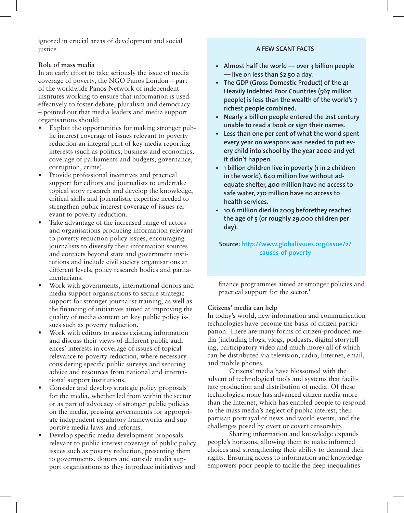ignored in crucial areas of development and social justice.

# **Role of mass media**

In an early effort to take seriously the issue of media coverage of poverty, the NGO Panos London – part of the worldwide Panos Network of independent institutes working to ensure that information is used effectively to foster debate, pluralism and democracy – pointed out that media leaders and media support organisations should:

- Exploit the opportunities for making stronger public interest coverage of issues relevant to poverty reduction an integral part of key media reporting interests (such as politics, business and economics, coverage of parliaments and budgets, governance, corruption, crime).
- Provide professional incentives and practical support for editors and journalists to undertake topical story research and develop the knowledge, critical skills and journalistic expertise needed to strengthen public interest coverage of issues relevant to poverty reduction.
- Take advantage of the increased range of actors and organisations producing information relevant to poverty reduction policy issues, encouraging journalists to diversify their information sources and contacts beyond state and government institutions and include civil society organisations at different levels, policy research bodies and parliamentarians.
- Work with governments, international donors and media support organisations to secure strategic support for stronger journalist training, as well as the financing of initiatives aimed at improving the quality of media content on key public policy issues such as poverty reduction.
- Work with editors to assess existing information and discuss their views of different public audiences' interests in coverage of issues of topical relevance to poverty reduction, where necessary considering specific public surveys and securing advice and resources from national and international support institutions.
- Consider and develop strategic policy proposals for the media, whether led from within the sector or as part of advocacy of stronger public policies on the media, pressing governments for appropriate independent regulatory frameworks and supportive media laws and reforms.
- Develop specific media development proposals relevant to public interest coverage of public policy issues such as poverty reduction, presenting them to governments, donors and outside media support organisations as they introduce initiatives and

# **A FEW SCANT FACTS**

- **• Almost half the world over 3 billion people — live on less than \$2.50 a day.**
- **• The GDP (Gross Domestic Product) of the 41 Heavily Indebted Poor Countries (567 million people) is less than the wealth of the world's 7 richest people combined.**
- **• Nearly a billion people entered the 21st century unable to read a book or sign their names.**
- **• Less than one per cent of what the world spent every year on weapons was needed to put every child into school by the year 2000 and yet it didn't happen.**
- **• 1 billion children live in poverty (1 in 2 children in the world). 640 million live without adequate shelter, 400 million have no access to safe water, 270 million have no access to health services.**
- **• 10.6 million died in 2003 beforethey reached the age of 5 (or roughly 29,000 children per day).**

**Source: http://www.globalissues.org/issue/2/ causes-of-poverty**

finance programmes aimed at stronger policies and practical support for the sector.<sup>5</sup>

# **Citizens' media can help**

In today's world, new information and communication technologies have become the basis of citizen participation. There are many forms of citizen-produced media (including blogs, vlogs, podcasts, digital storytelling, participatory video and much more) all of which can be distributed via television, radio, Internet, email, and mobile phones.

Citizens' media have blossomed with the advent of technological tools and systems that facilitate production and distribution of media. Of these technologies, none has advanced citizen media more than the Internet, which has enabled people to respond to the mass media's neglect of public interest, their partisan portrayal of news and world events, and the challenges posed by overt or covert censorship.

Sharing information and knowledge expands people's horizons, allowing them to make informed choices and strengthening their ability to demand their rights. Ensuring access to information and knowledge empowers poor people to tackle the deep inequalities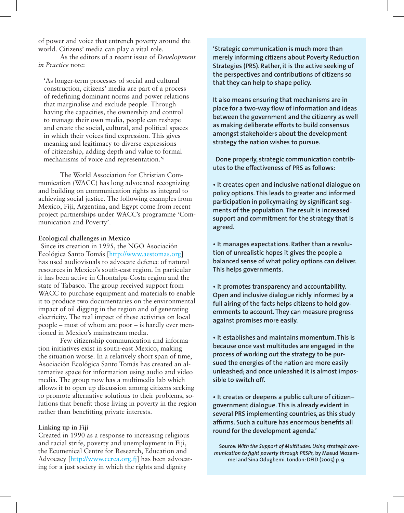of power and voice that entrench poverty around the world. Citizens' media can play a vital role.

As the editors of a recent issue of *Development in Practice* note:

'As longer-term processes of social and cultural construction, citizens' media are part of a process of redefining dominant norms and power relations that marginalise and exclude people. Through having the capacities, the ownership and control to manage their own media, people can reshape and create the social, cultural, and political spaces in which their voices find expression. This gives meaning and legitimacy to diverse expressions of citizenship, adding depth and value to formal mechanisms of voice and representation.'6

The World Association for Christian Communication (WACC) has long advocated recognizing and building on communication rights as integral to achieving social justice. The following examples from Mexico, Fiji, Argentina, and Egypt come from recent project partnerships under WACC's programme 'Communication and Poverty'.

#### **Ecological challenges in Mexico**

Since its creation in 1995, the NGO Asociación Ecológica Santo Tomás [http://www.aestomas.org] has used audiovisuals to advocate defence of natural resources in Mexico's south-east region. In particular it has been active in Chontalpa-Costa region and the state of Tabasco. The group received support from WACC to purchase equipment and materials to enable it to produce two documentaries on the environmental impact of oil digging in the region and of generating electricity. The real impact of these activities on local people – most of whom are poor – is hardly ever mentioned in Mexico's mainstream media.

Few citizenship communication and information initiatives exist in south-east Mexico, making the situation worse. In a relatively short span of time, Asociación Ecológica Santo Tomás has created an alternative space for information using audio and video media. The group now has a multimedia lab which allows it to open up discussion among citizens seeking to promote alternative solutions to their problems, solutions that benefit those living in poverty in the region rather than benefitting private interests.

#### **Linking up in Fiji**

Created in 1990 as a response to increasing religious and racial strife, poverty and unemployment in Fiji, the Ecumenical Centre for Research, Education and Advocacy [http://www.ecrea.org.fj] has been advocating for a just society in which the rights and dignity

**'Strategic communication is much more than merely informing citizens about Poverty Reduction Strategies (PRS). Rather, it is the active seeking of the perspectives and contributions of citizens so that they can help to shape policy.** 

**It also means ensuring that mechanisms are in place for a two-way flow of information and ideas between the government and the citizenry as well as making deliberate efforts to build consensus amongst stakeholders about the development strategy the nation wishes to pursue.**

**Done properly, strategic communication contributes to the effectiveness of PRS as follows:**

**• It creates open and inclusive national dialogue on policy options. This leads to greater and informed participation in policymaking by significant segments of the population. The result is increased support and commitment for the strategy that is agreed.**

**• It manages expectations. Rather than a revolution of unrealistic hopes it gives the people a balanced sense of what policy options can deliver. This helps governments.** 

**• It promotes transparency and accountability. Open and inclusive dialogue richly informed by a full airing of the facts helps citizens to hold governments to account. They can measure progress against promises more easily.**

**• It establishes and maintains momentum. This is because once vast multitudes are engaged in the process of working out the strategy to be pursued the energies of the nation are more easily unleashed; and once unleashed it is almost impossible to switch off.**

**• It creates or deepens a public culture of citizen– government dialogue. This is already evident in several PRS implementing countries, as this study affirms. Such a culture has enormous benefits all round for the development agenda.'**

**Source:** *With the Support of Multitudes: Using strategic communication to fight poverty through PRSPs,* **by Masud Mozammel and Sina Odugbemi. London: DFID (2005) p. 9.**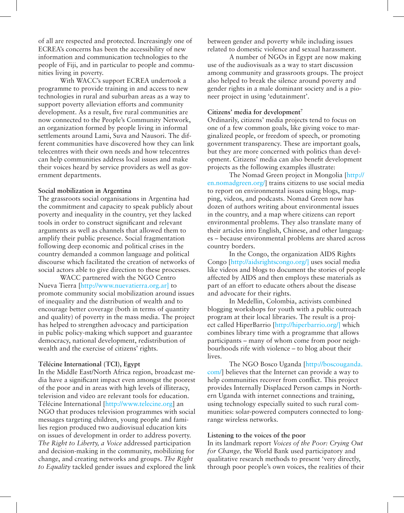of all are respected and protected. Increasingly one of ECREA's concerns has been the accessibility of new information and communication technologies to the people of Fiji, and in particular to people and communities living in poverty.

With WACC's support ECREA undertook a programme to provide training in and access to new technologies in rural and suburban areas as a way to support poverty alleviation efforts and community development. As a result, five rural communities are now connected to the People's Community Network, an organization formed by people living in informal settlements around Lami, Suva and Nausori. The different communities have discovered how they can link telecentres with their own needs and how telecentres can help communities address local issues and make their voices heard by service providers as well as government departments.

#### **Social mobilization in Argentina**

The grassroots social organisations in Argentina had the commitment and capacity to speak publicly about poverty and inequality in the country, yet they lacked tools in order to construct significant and relevant arguments as well as channels that allowed them to amplify their public presence. Social fragmentation following deep economic and political crises in the country demanded a common language and political discourse which facilitated the creation of networks of social actors able to give direction to these processes.

WACC partnered with the NGO Centro Nueva Tierra [http://www.nuevatierra.org.ar] to promote community social mobilization around issues of inequality and the distribution of wealth and to encourage better coverage (both in terms of quantity and quality) of poverty in the mass media. The project has helped to strengthen advocacy and participation in public policy-making which support and guarantee democracy, national development, redistribution of wealth and the exercise of citizens' rights.

## **Télécine International (TCI), Egypt**

In the Middle East/North Africa region, broadcast media have a significant impact even amongst the poorest of the poor and in areas with high levels of illiteracy, television and video are relevant tools for education. Télécine International [http://www.telecine.org] an NGO that produces television programmes with social messages targeting children, young people and families region produced two audiovisual education kits on issues of development in order to address poverty. *The Right to Liberty, a Voice* addressed participation and decision-making in the community, mobilizing for change, and creating networks and groups. *The Right to Equality* tackled gender issues and explored the link between gender and poverty while including issues related to domestic violence and sexual harassment.

A number of NGOs in Egypt are now making use of the audiovisuals as a way to start discussion among community and grassroots groups. The project also helped to break the silence around poverty and gender rights in a male dominant society and is a pioneer project in using 'edutainment'.

## **Citizens' media for development7**

Ordinarily, citizens' media projects tend to focus on one of a few common goals, like giving voice to marginalized people, or freedom of speech, or promoting government transparency. These are important goals, but they are more concerned with politics than development. Citizens' media can also benefit development projects as the following examples illustrate:

The Nomad Green project in Mongolia [http:// en.nomadgreen.org/] trains citizens to use social media to report on environmental issues using blogs, mapping, videos, and podcasts. Nomad Green now has dozen of authors writing about environmental issues in the country, and a map where citizens can report environmental problems. They also translate many of their articles into English, Chinese, and other languages – because environmental problems are shared across country borders.

In the Congo, the organization AIDS Rights Congo [http://aidsrightscongo.org/] uses social media like videos and blogs to document the stories of people affected by AIDS and then employs these materials as part of an effort to educate others about the disease and advocate for their rights.

In Medellin, Colombia, activists combined blogging workshops for youth with a public outreach program at their local libraries. The result is a project called HiperBarrio [http://hiperbarrio.org/] which combines library time with a programme that allows participants – many of whom come from poor neighbourhoods rife with violence – to blog about their lives.

The NGO Bosco Uganda [http://boscouganda. com/] believes that the Internet can provide a way to help communities recover from conflict. This project provides Internally Displaced Person camps in Northern Uganda with internet connections and training, using technology especially suited to such rural communities: solar-powered computers connected to longrange wireless networks.

## **Listening to the voices of the poor**

In its landmark report *Voices of the Poor: Crying Out for Change,* the World Bank used participatory and qualitative research methods to present 'very directly, through poor people's own voices, the realities of their